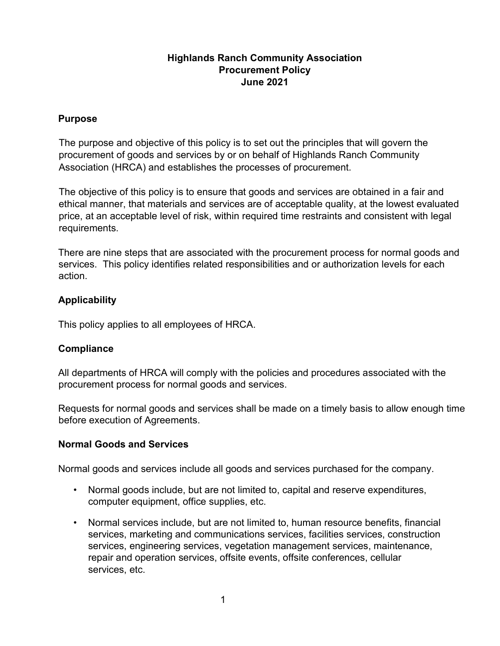## Highlands Ranch Community Association Procurement Policy June 2021

#### Purpose

The purpose and objective of this policy is to set out the principles that will govern the procurement of goods and services by or on behalf of Highlands Ranch Community Association (HRCA) and establishes the processes of procurement.

The objective of this policy is to ensure that goods and services are obtained in a fair and ethical manner, that materials and services are of acceptable quality, at the lowest evaluated price, at an acceptable level of risk, within required time restraints and consistent with legal requirements.

There are nine steps that are associated with the procurement process for normal goods and services. This policy identifies related responsibilities and or authorization levels for each action.

# Applicability

This policy applies to all employees of HRCA.

# **Compliance**

All departments of HRCA will comply with the policies and procedures associated with the procurement process for normal goods and services.

Requests for normal goods and services shall be made on a timely basis to allow enough time before execution of Agreements.

# Normal Goods and Services

Normal goods and services include all goods and services purchased for the company.

- Normal goods include, but are not limited to, capital and reserve expenditures, computer equipment, office supplies, etc.
- Normal services include, but are not limited to, human resource benefits, financial services, marketing and communications services, facilities services, construction services, engineering services, vegetation management services, maintenance, repair and operation services, offsite events, offsite conferences, cellular services, etc.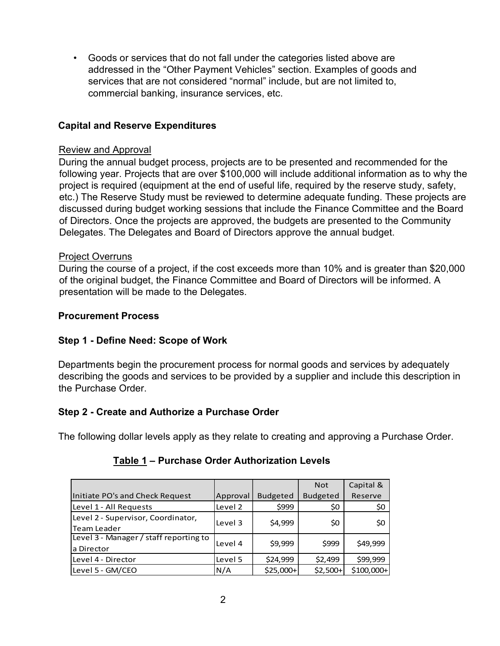• Goods or services that do not fall under the categories listed above are addressed in the "Other Payment Vehicles" section. Examples of goods and services that are not considered "normal" include, but are not limited to, commercial banking, insurance services, etc.

# Capital and Reserve Expenditures

### Review and Approval

During the annual budget process, projects are to be presented and recommended for the following year. Projects that are over \$100,000 will include additional information as to why the project is required (equipment at the end of useful life, required by the reserve study, safety, etc.) The Reserve Study must be reviewed to determine adequate funding. These projects are discussed during budget working sessions that include the Finance Committee and the Board of Directors. Once the projects are approved, the budgets are presented to the Community Delegates. The Delegates and Board of Directors approve the annual budget.

## Project Overruns

During the course of a project, if the cost exceeds more than 10% and is greater than \$20,000 of the original budget, the Finance Committee and Board of Directors will be informed. A presentation will be made to the Delegates.

## Procurement Process

# Step 1 - Define Need: Scope of Work

# Step 2 - Create and Authorize a Purchase Order

| <b>ocurement Process</b>                                                                                                                                                                                      |
|---------------------------------------------------------------------------------------------------------------------------------------------------------------------------------------------------------------|
| pp 1 - Define Need: Scope of Work                                                                                                                                                                             |
| partments begin the procurement process for normal goods and services by adequately<br>scribing the goods and services to be provided by a supplier and include this description in<br><b>Purchase Order.</b> |
| <b>PP 2 - Create and Authorize a Purchase Order</b>                                                                                                                                                           |
| e following dollar levels apply as they relate to creating and approving a Purchase Order.                                                                                                                    |
| Table 1 - Purchase Order Authorization Levels                                                                                                                                                                 |
| Capital &<br><b>Not</b>                                                                                                                                                                                       |
| Initiate PO's and Check Request<br>Budgeted<br>Approval<br><b>Budgeted</b><br>Reserve                                                                                                                         |
| Level 1 - All Requests<br>Level 2<br>\$999<br>\$0<br>\$0                                                                                                                                                      |
| Level 2 - Supervisor, Coordinator,<br>\$0<br>\$4,999<br>\$0<br>Level 3<br>Team Leader                                                                                                                         |
| Level 3 - Manager / staff reporting to<br>\$9,999<br>\$999<br>\$49,999<br>Level 4<br>a Director                                                                                                               |
| Level 5<br>\$24,999<br>\$2,499<br>\$99,999<br>Level 4 - Director                                                                                                                                              |
| N/A<br>Level 5 - GM/CEO<br>\$25,000+<br>$$2,500+$<br>\$100,000+                                                                                                                                               |

# Table 1 – Purchase Order Authorization Levels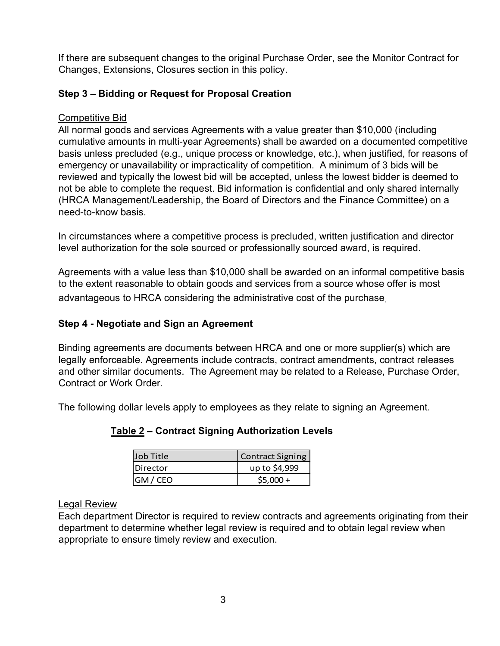If there are subsequent changes to the original Purchase Order, see the Monitor Contract for Changes, Extensions, Closures section in this policy.

# Step 3 – Bidding or Request for Proposal Creation

# Competitive Bid

All normal goods and services Agreements with a value greater than \$10,000 (including cumulative amounts in multi-year Agreements) shall be awarded on a documented competitive basis unless precluded (e.g., unique process or knowledge, etc.), when justified, for reasons of emergency or unavailability or impracticality of competition. A minimum of 3 bids will be reviewed and typically the lowest bid will be accepted, unless the lowest bidder is deemed to not be able to complete the request. Bid information is confidential and only shared internally (HRCA Management/Leadership, the Board of Directors and the Finance Committee) on a need-to-know basis.

In circumstances where a competitive process is precluded, written justification and director level authorization for the sole sourced or professionally sourced award, is required.

Agreements with a value less than \$10,000 shall be awarded on an informal competitive basis to the extent reasonable to obtain goods and services from a source whose offer is most advantageous to HRCA considering the administrative cost of the purchase.

# Step 4 - Negotiate and Sign an Agreement

Binding agreements are documents between HRCA and one or more supplier(s) which are legally enforceable. Agreements include contracts, contract amendments, contract releases and other similar documents. The Agreement may be related to a Release, Purchase Order, Contract or Work Order. a value less than \$10,000 shall be awarded on an informal competitive basis<br>
onable to obtain goods and services from a source whose offer is most<br>
HRCA considering the administrative cost of the purchase<br> **e and Sign an A** onable to obtain goods and services from a source whose offer is most<br>
HRCA considering the administrative cost of the purchase.<br>
HRCA considering the administrative cost of the purchase.<br> **e and Sign an Agreement**<br>
ts are

The following dollar levels apply to employees as they relate to signing an Agreement.

| Job Title        | <b>Contract Signing</b> |
|------------------|-------------------------|
| <b>IDirector</b> | up to \$4,999           |
| GM / CEO         | $$5,000+$               |

# Table 2 – Contract Signing Authorization Levels

# Legal Review

Each department Director is required to review contracts and agreements originating from their department to determine whether legal review is required and to obtain legal review when appropriate to ensure timely review and execution.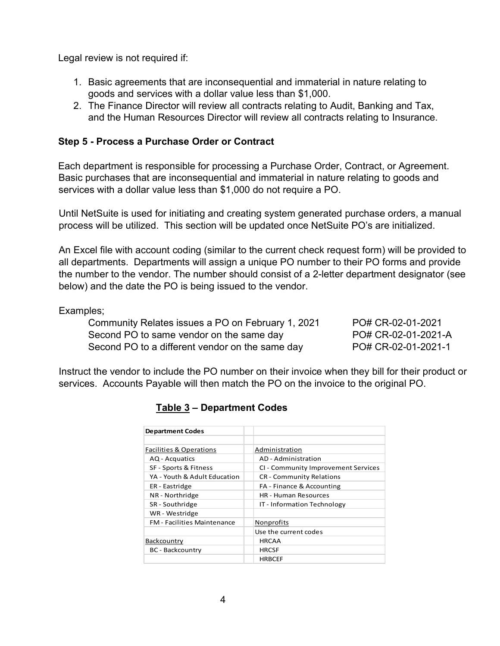Legal review is not required if:

- 1. Basic agreements that are inconsequential and immaterial in nature relating to goods and services with a dollar value less than \$1,000.
- 2. The Finance Director will review all contracts relating to Audit, Banking and Tax, and the Human Resources Director will review all contracts relating to Insurance.

#### Step 5 - Process a Purchase Order or Contract

Each department is responsible for processing a Purchase Order, Contract, or Agreement. Basic purchases that are inconsequential and immaterial in nature relating to goods and services with a dollar value less than \$1,000 do not require a PO.

Until NetSuite is used for initiating and creating system generated purchase orders, a manual process will be utilized. This section will be updated once NetSuite PO's are initialized.

An Excel file with account coding (similar to the current check request form) will be provided to all departments. Departments will assign a unique PO number to their PO forms and provide the number to the vendor. The number should consist of a 2-letter department designator (see below) and the date the PO is being issued to the vendor.

Examples;

| Community Relates issues a PO on February 1, 2021 | PO# CR-02-01-2021   |
|---------------------------------------------------|---------------------|
| Second PO to same vendor on the same day          | PO# CR-02-01-2021-A |
| Second PO to a different vendor on the same day   | PO# CR-02-01-2021-1 |

Instruct the vendor to include the PO number on their invoice when they bill for their product or services. Accounts Payable will then match the PO on the invoice to the original PO.

| Relates issues a PO on February 1, 2021 |                                                                   | PO# CR-02-01-2021                                                             |
|-----------------------------------------|-------------------------------------------------------------------|-------------------------------------------------------------------------------|
| to same vendor on the same day          |                                                                   | PO# CR-02-01-2021-A                                                           |
| o a different vendor on the same day    |                                                                   | PO# CR-02-01-2021-1                                                           |
|                                         |                                                                   |                                                                               |
|                                         |                                                                   | to include the PO number on their invoice when they bill for their product or |
|                                         |                                                                   |                                                                               |
|                                         | Payable will then match the PO on the invoice to the original PO. |                                                                               |
|                                         |                                                                   |                                                                               |
|                                         |                                                                   |                                                                               |
| <b>Table 3 - Department Codes</b>       |                                                                   |                                                                               |
|                                         |                                                                   |                                                                               |
|                                         |                                                                   |                                                                               |
|                                         |                                                                   |                                                                               |
| <b>Department Codes</b>                 |                                                                   |                                                                               |
| <b>Facilities &amp; Operations</b>      | Administration                                                    |                                                                               |
| AQ - Acquatics                          | AD - Administration                                               |                                                                               |
| SF - Sports & Fitness                   | CI - Community Improvement Services                               |                                                                               |
| YA - Youth & Adult Education            | CR - Community Relations                                          |                                                                               |
| ER - Eastridge                          | FA - Finance & Accounting                                         |                                                                               |
| NR - Northridge                         | HR - Human Resources                                              |                                                                               |
| SR - Southridge                         | IT - Information Technology                                       |                                                                               |
| WR - Westridge                          |                                                                   |                                                                               |
| FM - Facilities Maintenance             | Nonprofits                                                        |                                                                               |
|                                         | Use the current codes                                             |                                                                               |
| Backcountry                             | <b>HRCAA</b>                                                      |                                                                               |
| <b>BC</b> - Backcountry                 | <b>HRCSF</b>                                                      |                                                                               |

#### Table 3 – Department Codes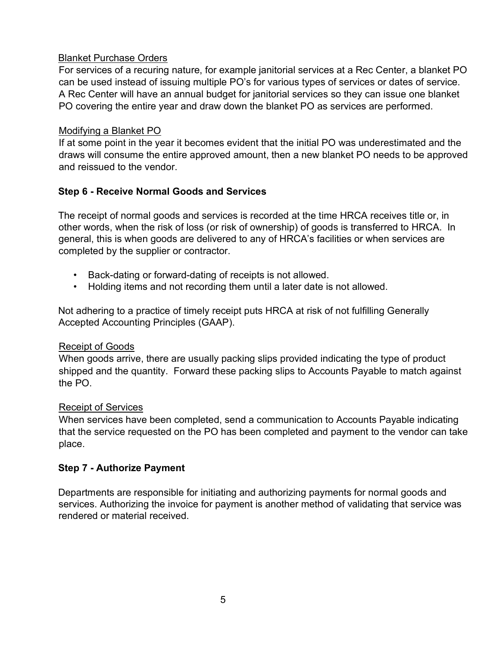## Blanket Purchase Orders

For services of a recuring nature, for example janitorial services at a Rec Center, a blanket PO can be used instead of issuing multiple PO's for various types of services or dates of service. A Rec Center will have an annual budget for janitorial services so they can issue one blanket PO covering the entire year and draw down the blanket PO as services are performed.

### Modifying a Blanket PO

If at some point in the year it becomes evident that the initial PO was underestimated and the draws will consume the entire approved amount, then a new blanket PO needs to be approved and reissued to the vendor.

# Step 6 - Receive Normal Goods and Services

The receipt of normal goods and services is recorded at the time HRCA receives title or, in other words, when the risk of loss (or risk of ownership) of goods is transferred to HRCA. In general, this is when goods are delivered to any of HRCA's facilities or when services are completed by the supplier or contractor.

- Back-dating or forward-dating of receipts is not allowed.
- Holding items and not recording them until a later date is not allowed.

Not adhering to a practice of timely receipt puts HRCA at risk of not fulfilling Generally Accepted Accounting Principles (GAAP).

#### Receipt of Goods

When goods arrive, there are usually packing slips provided indicating the type of product shipped and the quantity. Forward these packing slips to Accounts Payable to match against the PO.

#### Receipt of Services

When services have been completed, send a communication to Accounts Payable indicating that the service requested on the PO has been completed and payment to the vendor can take place.

#### Step 7 - Authorize Payment

Departments are responsible for initiating and authorizing payments for normal goods and services. Authorizing the invoice for payment is another method of validating that service was rendered or material received.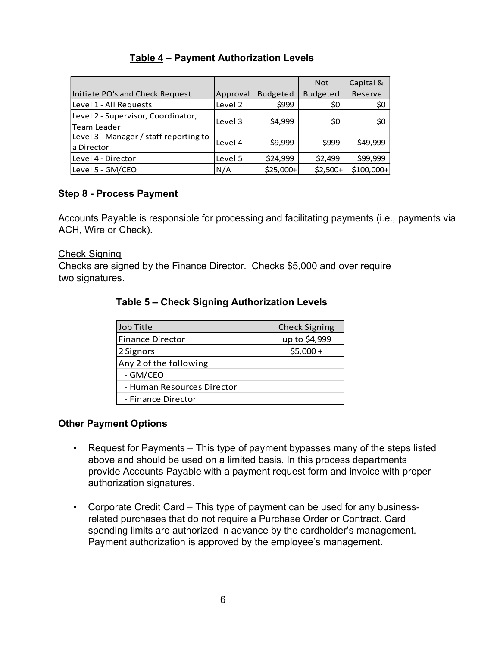# Table 4 – Payment Authorization Levels

| Table 4 - Payment Authorization Levels                                                                                                                          |                |                       |                      |                        |
|-----------------------------------------------------------------------------------------------------------------------------------------------------------------|----------------|-----------------------|----------------------|------------------------|
|                                                                                                                                                                 |                |                       |                      |                        |
|                                                                                                                                                                 |                |                       |                      |                        |
|                                                                                                                                                                 |                |                       | Not                  | Capital &              |
|                                                                                                                                                                 | Approval       | <b>Budgeted</b>       | <b>Budgeted</b>      | Reserve                |
|                                                                                                                                                                 | Level 2        | \$999                 | \$0                  | \$0                    |
|                                                                                                                                                                 | Level 3        | \$4,999               | \$0                  | \$0                    |
| Initiate PO's and Check Request<br>Level 1 - All Requests<br>Level 2 - Supervisor, Coordinator,<br><b>Team Leader</b><br>Level 3 - Manager / staff reporting to | Level 4        | \$9,999               | \$999                | \$49,999               |
| a Director                                                                                                                                                      |                |                       |                      |                        |
| Level 4 - Director<br>Level 5 - GM/CEO                                                                                                                          | Level 5<br>N/A | \$24,999<br>\$25,000+ | \$2,499<br>$$2,500+$ | \$99,999<br>\$100,000+ |

## Step 8 - Process Payment

Accounts Payable is responsible for processing and facilitating payments (i.e., payments via ACH, Wire or Check).

#### Check Signing

Checks are signed by the Finance Director. Checks \$5,000 and over require two signatures.

| anager / staff reporting to                                                                                                                                                                                                                           | Level 4 | \$9,999   | \$999                | \$49,999   |  |
|-------------------------------------------------------------------------------------------------------------------------------------------------------------------------------------------------------------------------------------------------------|---------|-----------|----------------------|------------|--|
| rector                                                                                                                                                                                                                                                | Level 5 | \$24,999  | \$2,499              | \$99,999   |  |
| <i><b>//CEO</b></i>                                                                                                                                                                                                                                   | N/A     | \$25,000+ | $$2,500+$            | \$100,000+ |  |
| cess Payment<br>yable is responsible for processing and facilitating payments (i.e., payments via<br>r Check).<br><u>ıg</u><br>signed by the Finance Director. Checks \$5,000 and over require<br>ЭS.<br>Table 5 - Check Signing Authorization Levels |         |           |                      |            |  |
| Job Title                                                                                                                                                                                                                                             |         |           | <b>Check Signing</b> |            |  |
| Finance Director                                                                                                                                                                                                                                      |         |           | up to \$4,999        |            |  |
| 2 Signors                                                                                                                                                                                                                                             |         |           | $$5,000+$            |            |  |
| Any 2 of the following                                                                                                                                                                                                                                |         |           |                      |            |  |
| - GM/CEO                                                                                                                                                                                                                                              |         |           |                      |            |  |
| - Human Resources Director                                                                                                                                                                                                                            |         |           |                      |            |  |
| - Finance Director                                                                                                                                                                                                                                    |         |           |                      |            |  |

## Table 5 – Check Signing Authorization Levels

#### Other Payment Options

- Request for Payments This type of payment bypasses many of the steps listed above and should be used on a limited basis. In this process departments provide Accounts Payable with a payment request form and invoice with proper authorization signatures.
- Corporate Credit Card This type of payment can be used for any businessrelated purchases that do not require a Purchase Order or Contract. Card spending limits are authorized in advance by the cardholder's management. Payment authorization is approved by the employee's management.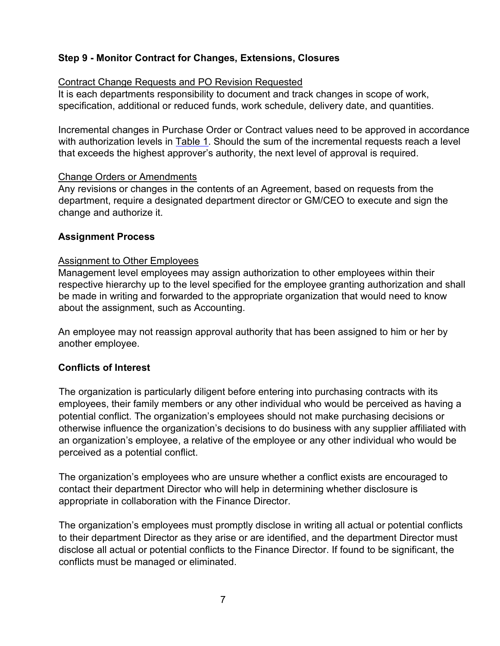# Step 9 - Monitor Contract for Changes, Extensions, Closures

### Contract Change Requests and PO Revision Requested

It is each departments responsibility to document and track changes in scope of work, specification, additional or reduced funds, work schedule, delivery date, and quantities.

Incremental changes in Purchase Order or Contract values need to be approved in accordance with authorization levels in Table 1. Should the sum of the incremental requests reach a level that exceeds the highest approver's authority, the next level of approval is required.

#### Change Orders or Amendments

Any revisions or changes in the contents of an Agreement, based on requests from the department, require a designated department director or GM/CEO to execute and sign the change and authorize it.

## Assignment Process

#### Assignment to Other Employees

Management level employees may assign authorization to other employees within their respective hierarchy up to the level specified for the employee granting authorization and shall be made in writing and forwarded to the appropriate organization that would need to know about the assignment, such as Accounting.

An employee may not reassign approval authority that has been assigned to him or her by another employee.

# Conflicts of Interest

The organization is particularly diligent before entering into purchasing contracts with its employees, their family members or any other individual who would be perceived as having a potential conflict. The organization's employees should not make purchasing decisions or otherwise influence the organization's decisions to do business with any supplier affiliated with an organization's employee, a relative of the employee or any other individual who would be perceived as a potential conflict.

The organization's employees who are unsure whether a conflict exists are encouraged to contact their department Director who will help in determining whether disclosure is appropriate in collaboration with the Finance Director.

The organization's employees must promptly disclose in writing all actual or potential conflicts to their department Director as they arise or are identified, and the department Director must disclose all actual or potential conflicts to the Finance Director. If found to be significant, the conflicts must be managed or eliminated.